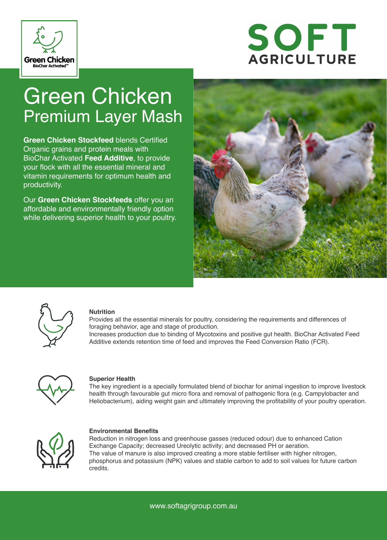



# Green Chicken Premium Layer Mash

**Green Chicken Stockfeed** blends Certified Organic grains and protein meals with BioChar Activated **Feed Additive**, to provide your flock with all the essential mineral and vitamin requirements for optimum health and productivity.

Our **Green Chicken Stockfeeds** offer you an affordable and environmentally friendly option while delivering superior health to your poultry.





#### **Nutrition**

Provides all the essential minerals for poultry, considering the requirements and differences of foraging behavior, age and stage of production.

Increases production due to binding of Mycotoxins and positive gut health. BioChar Activated Feed Additive extends retention time of feed and improves the Feed Conversion Ratio (FCR).



#### **Superior Health**

The key ingredient is a specially formulated blend of biochar for animal ingestion to improve livestock health through favourable gut micro flora and removal of pathogenic flora (e.g. Campylobacter and Heliobacterium), aiding weight gain and ultimately improving the profitability of your poultry operation.



#### **Environmental Benefits**

Reduction in nitrogen loss and greenhouse gasses (reduced odour) due to enhanced Cation Exchange Capacity; decreased Ureolytic activity; and decreased PH or aeration. The value of manure is also improved creating a more stable fertiliser with higher nitrogen, phosphorus and potassium (NPK) values and stable carbon to add to soil values for future carbon credits.